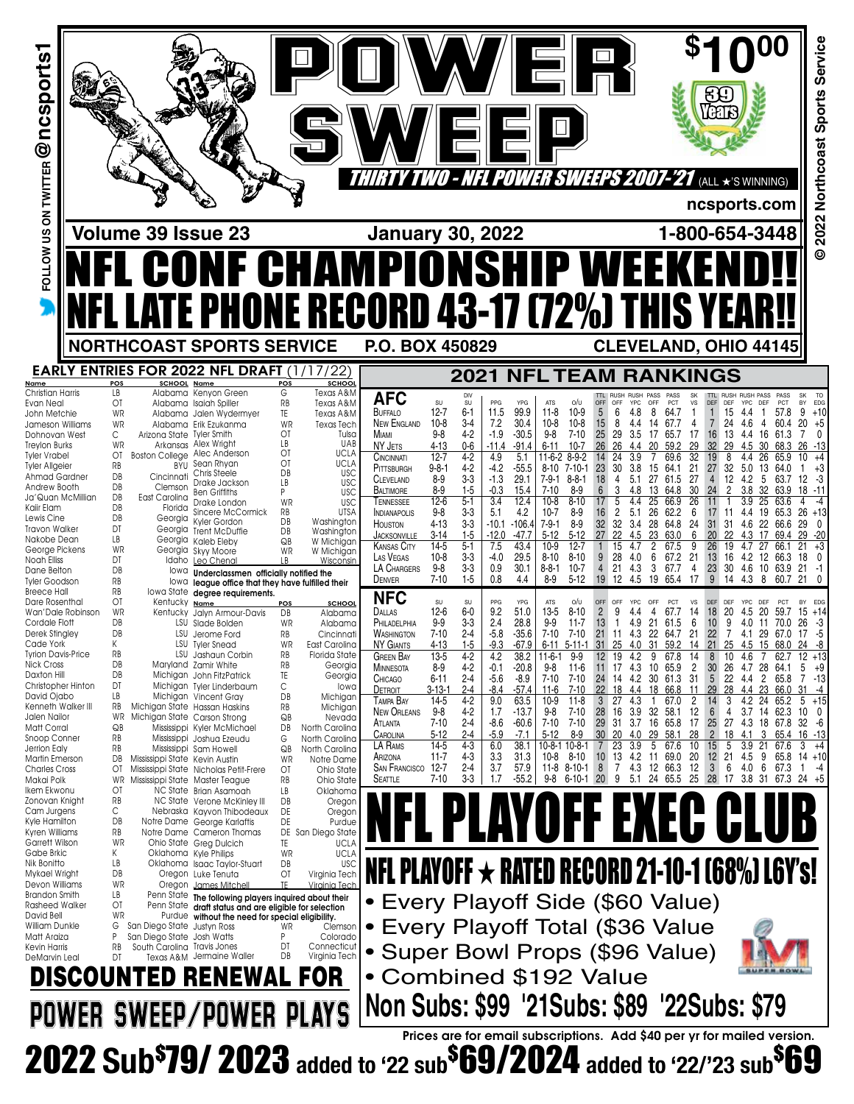| FOLLOW US ON TWITTER @ nCSports1                                                                                                                                                                                                                                                                                                                                                                                                                                                                                                                                                                                                                                                                                                                                                      |                                                                                                                                                                                                                                                       |                                                                                                                                    |                                                                                                                                                                                                                                                                                                                                                                                                                                                                                                                                                                                                                                                                                                                                                                                                                                                                                                                                                                                                                                                                                                                                          |                                                                                                                                                                                                                                                                                                                                                                                                                                                                                                                                                                                                                                                                                                                                                                                             |                                                                                                                                                                                                                                                                                                                                                                                                                                                                                                                                  |                                                                                                                                                                                                                                                                                                                                                                                                                                                                                                                                                                                                                                                                                                 | / EI                                                                                                                                                                                                                                                                                                                                                                                                                                                                                                                                                                                              | <i>1 - NFL POWER SWEEPS 2007-'21</i>                                                                                                                                                                                                                                                                                                                                                                                                                                                                                                                                                                                                                                                                                                  | 日く                                                                                                                                                                                                                                                                                                                                                                                                                                                                                                                                                                                                                                                                                                                                         |                                                                                                                                                                                                                                                                                                                                                                                                                                                                                                                                                                                                                                                                                        | (ALL ★'S WINNING)<br>ncsports.com                                                                                                                                                                                                                                                                                                                                                                                                                                                                                                                                                                                                                                                                    |                                                                                                                                                                                                                                                                                                                                                                                                                                                                                                                                                                                                                        | Service<br>Sports<br>2022 Northcoast                                                                                                                                                                                                                              |
|---------------------------------------------------------------------------------------------------------------------------------------------------------------------------------------------------------------------------------------------------------------------------------------------------------------------------------------------------------------------------------------------------------------------------------------------------------------------------------------------------------------------------------------------------------------------------------------------------------------------------------------------------------------------------------------------------------------------------------------------------------------------------------------|-------------------------------------------------------------------------------------------------------------------------------------------------------------------------------------------------------------------------------------------------------|------------------------------------------------------------------------------------------------------------------------------------|------------------------------------------------------------------------------------------------------------------------------------------------------------------------------------------------------------------------------------------------------------------------------------------------------------------------------------------------------------------------------------------------------------------------------------------------------------------------------------------------------------------------------------------------------------------------------------------------------------------------------------------------------------------------------------------------------------------------------------------------------------------------------------------------------------------------------------------------------------------------------------------------------------------------------------------------------------------------------------------------------------------------------------------------------------------------------------------------------------------------------------------|---------------------------------------------------------------------------------------------------------------------------------------------------------------------------------------------------------------------------------------------------------------------------------------------------------------------------------------------------------------------------------------------------------------------------------------------------------------------------------------------------------------------------------------------------------------------------------------------------------------------------------------------------------------------------------------------------------------------------------------------------------------------------------------------|----------------------------------------------------------------------------------------------------------------------------------------------------------------------------------------------------------------------------------------------------------------------------------------------------------------------------------------------------------------------------------------------------------------------------------------------------------------------------------------------------------------------------------|-------------------------------------------------------------------------------------------------------------------------------------------------------------------------------------------------------------------------------------------------------------------------------------------------------------------------------------------------------------------------------------------------------------------------------------------------------------------------------------------------------------------------------------------------------------------------------------------------------------------------------------------------------------------------------------------------|---------------------------------------------------------------------------------------------------------------------------------------------------------------------------------------------------------------------------------------------------------------------------------------------------------------------------------------------------------------------------------------------------------------------------------------------------------------------------------------------------------------------------------------------------------------------------------------------------|---------------------------------------------------------------------------------------------------------------------------------------------------------------------------------------------------------------------------------------------------------------------------------------------------------------------------------------------------------------------------------------------------------------------------------------------------------------------------------------------------------------------------------------------------------------------------------------------------------------------------------------------------------------------------------------------------------------------------------------|--------------------------------------------------------------------------------------------------------------------------------------------------------------------------------------------------------------------------------------------------------------------------------------------------------------------------------------------------------------------------------------------------------------------------------------------------------------------------------------------------------------------------------------------------------------------------------------------------------------------------------------------------------------------------------------------------------------------------------------------|----------------------------------------------------------------------------------------------------------------------------------------------------------------------------------------------------------------------------------------------------------------------------------------------------------------------------------------------------------------------------------------------------------------------------------------------------------------------------------------------------------------------------------------------------------------------------------------------------------------------------------------------------------------------------------------|------------------------------------------------------------------------------------------------------------------------------------------------------------------------------------------------------------------------------------------------------------------------------------------------------------------------------------------------------------------------------------------------------------------------------------------------------------------------------------------------------------------------------------------------------------------------------------------------------------------------------------------------------------------------------------------------------|------------------------------------------------------------------------------------------------------------------------------------------------------------------------------------------------------------------------------------------------------------------------------------------------------------------------------------------------------------------------------------------------------------------------------------------------------------------------------------------------------------------------------------------------------------------------------------------------------------------------|-------------------------------------------------------------------------------------------------------------------------------------------------------------------------------------------------------------------------------------------------------------------|
|                                                                                                                                                                                                                                                                                                                                                                                                                                                                                                                                                                                                                                                                                                                                                                                       |                                                                                                                                                                                                                                                       |                                                                                                                                    | Volume 39 Issue 23                                                                                                                                                                                                                                                                                                                                                                                                                                                                                                                                                                                                                                                                                                                                                                                                                                                                                                                                                                                                                                                                                                                       |                                                                                                                                                                                                                                                                                                                                                                                                                                                                                                                                                                                                                                                                                                                                                                                             |                                                                                                                                                                                                                                                                                                                                                                                                                                                                                                                                  | <b>January 30, 2022</b>                                                                                                                                                                                                                                                                                                                                                                                                                                                                                                                                                                                                                                                                         |                                                                                                                                                                                                                                                                                                                                                                                                                                                                                                                                                                                                   |                                                                                                                                                                                                                                                                                                                                                                                                                                                                                                                                                                                                                                                                                                                                       |                                                                                                                                                                                                                                                                                                                                                                                                                                                                                                                                                                                                                                                                                                                                            |                                                                                                                                                                                                                                                                                                                                                                                                                                                                                                                                                                                                                                                                                        | 1-800-654-3448                                                                                                                                                                                                                                                                                                                                                                                                                                                                                                                                                                                                                                                                                       |                                                                                                                                                                                                                                                                                                                                                                                                                                                                                                                                                                                                                        |                                                                                                                                                                                                                                                                   |
|                                                                                                                                                                                                                                                                                                                                                                                                                                                                                                                                                                                                                                                                                                                                                                                       |                                                                                                                                                                                                                                                       |                                                                                                                                    | <b>CONF CHAMPIONSHIP WE</b><br><b>FL LATE PHONE RECORD 43-17 (72%) THIS YI</b>                                                                                                                                                                                                                                                                                                                                                                                                                                                                                                                                                                                                                                                                                                                                                                                                                                                                                                                                                                                                                                                           |                                                                                                                                                                                                                                                                                                                                                                                                                                                                                                                                                                                                                                                                                                                                                                                             |                                                                                                                                                                                                                                                                                                                                                                                                                                                                                                                                  |                                                                                                                                                                                                                                                                                                                                                                                                                                                                                                                                                                                                                                                                                                 |                                                                                                                                                                                                                                                                                                                                                                                                                                                                                                                                                                                                   |                                                                                                                                                                                                                                                                                                                                                                                                                                                                                                                                                                                                                                                                                                                                       |                                                                                                                                                                                                                                                                                                                                                                                                                                                                                                                                                                                                                                                                                                                                            |                                                                                                                                                                                                                                                                                                                                                                                                                                                                                                                                                                                                                                                                                        |                                                                                                                                                                                                                                                                                                                                                                                                                                                                                                                                                                                                                                                                                                      |                                                                                                                                                                                                                                                                                                                                                                                                                                                                                                                                                                                                                        | $\odot$                                                                                                                                                                                                                                                           |
|                                                                                                                                                                                                                                                                                                                                                                                                                                                                                                                                                                                                                                                                                                                                                                                       |                                                                                                                                                                                                                                                       |                                                                                                                                    | <b>NORTHCOAST SPORTS SERVICE</b>                                                                                                                                                                                                                                                                                                                                                                                                                                                                                                                                                                                                                                                                                                                                                                                                                                                                                                                                                                                                                                                                                                         |                                                                                                                                                                                                                                                                                                                                                                                                                                                                                                                                                                                                                                                                                                                                                                                             |                                                                                                                                                                                                                                                                                                                                                                                                                                                                                                                                  | P.O. BOX 450829                                                                                                                                                                                                                                                                                                                                                                                                                                                                                                                                                                                                                                                                                 |                                                                                                                                                                                                                                                                                                                                                                                                                                                                                                                                                                                                   |                                                                                                                                                                                                                                                                                                                                                                                                                                                                                                                                                                                                                                                                                                                                       |                                                                                                                                                                                                                                                                                                                                                                                                                                                                                                                                                                                                                                                                                                                                            |                                                                                                                                                                                                                                                                                                                                                                                                                                                                                                                                                                                                                                                                                        | <b>CLEVELAND, OHIO 44145</b>                                                                                                                                                                                                                                                                                                                                                                                                                                                                                                                                                                                                                                                                         |                                                                                                                                                                                                                                                                                                                                                                                                                                                                                                                                                                                                                        |                                                                                                                                                                                                                                                                   |
| Name                                                                                                                                                                                                                                                                                                                                                                                                                                                                                                                                                                                                                                                                                                                                                                                  | POS                                                                                                                                                                                                                                                   |                                                                                                                                    | <b>EARLY ENTRIES FOR 2022 NFL DRAFT (1)</b><br><b>SCHOOL Name</b>                                                                                                                                                                                                                                                                                                                                                                                                                                                                                                                                                                                                                                                                                                                                                                                                                                                                                                                                                                                                                                                                        | 7/22<br><b>SCHOOL</b><br><b>POS</b>                                                                                                                                                                                                                                                                                                                                                                                                                                                                                                                                                                                                                                                                                                                                                         |                                                                                                                                                                                                                                                                                                                                                                                                                                                                                                                                  |                                                                                                                                                                                                                                                                                                                                                                                                                                                                                                                                                                                                                                                                                                 |                                                                                                                                                                                                                                                                                                                                                                                                                                                                                                                                                                                                   | <b>2021 NFLTEAM RANKINGS</b>                                                                                                                                                                                                                                                                                                                                                                                                                                                                                                                                                                                                                                                                                                          |                                                                                                                                                                                                                                                                                                                                                                                                                                                                                                                                                                                                                                                                                                                                            |                                                                                                                                                                                                                                                                                                                                                                                                                                                                                                                                                                                                                                                                                        |                                                                                                                                                                                                                                                                                                                                                                                                                                                                                                                                                                                                                                                                                                      |                                                                                                                                                                                                                                                                                                                                                                                                                                                                                                                                                                                                                        |                                                                                                                                                                                                                                                                   |
| Christian Harris<br>Evan Neal<br>John Metchie<br>Jameson Williams<br>Dohnovan West<br><b>Treylon Burks</b><br><b>Tyler Vrabel</b><br>Tyler Allgeier<br>Ahmad Gardner<br>Andrew Booth<br>Ja'Quan McMillian<br>Kaiir Elam<br>Lewis Cine<br><b>Travon Walker</b><br>Nakobe Dean<br>George Pickens<br>Noah Elliss<br>Dane Belton<br><b>Tyler Goodson</b><br><b>Breece Hall</b><br>Dare Rosenthal<br>Wan'Dale Robinson<br>Cordale Flott<br>Derek Stingley<br>Cade York<br><b>Tyrion Davis-Price</b><br><b>Nick Cross</b><br>Daxton Hill<br>Christopher Hinton<br>David Ojabo<br>Kenneth Walker III<br>Jalen Nailor<br>Matt Corral<br>Snoop Conner<br>Jerrion Ealy<br>Martin Emerson<br><b>Charles Cross</b><br>Makai Polk<br>lkem Ekwonu<br>Zonovan Knight<br>Cam Jurgens<br>Kyle Hamilton | LB<br>ΟT<br>WR<br>WR<br>С<br>WR<br>ΟT<br>RB<br>DB<br>DB<br>DB<br>DB<br>DB<br>DT<br>LB<br>WR<br>DT<br>DB<br>RB<br>RB<br>OT<br>WR<br>DB<br>DB<br>K<br>RB<br>DB<br>DB<br>DT<br>LB<br>RB<br>WR<br>QB<br>RB<br>RB<br>DB<br>ΟT<br>WR<br>ΟĪ<br>RB<br>С<br>DB | Cincinnati<br>Clemson<br>East Carolina<br>Florida<br>Georgia<br>lowa<br>Kentucky <sub>Name</sub><br>Mississippi State Kevin Austin | Alabama Kenyon Green<br>Alabama Isaiah Spiller<br>Alabama Jalen Wydermyer<br>Alabama Erik Ezukanma<br>Arizona State Tyler Smith<br>Arkansas Alex Wright<br>Boston College Alec Anderson<br>BÝU Sean Rhyan<br>Chris Steele<br>Drake Jackson<br><b>Ben Griffiths</b><br>Drake London<br>Sincere McCormick<br>Kyler Gordon<br>Georgia Trent McDuffie<br>Georgia Kaleb Eleby<br>Georgia Skyy Moore<br>Idaho Leo Chenal<br>Underclassmen officially notified the<br>lowa league office that they have fulfilled their<br>lowa State degree requirements.<br>Kentucky Jalyn Armour-Davis<br>LSU Slade Bolden<br>LSU Jerome Ford<br>LSU Tyler Snead<br>LSU Jashaun Corbin<br>Maryland Zamir White<br>Michigan John FitzPatrick<br>Michigan Tyler Linderbaum<br>Michigan Vincent Gray<br>Michigan State Hassan Haskins<br>Michigan State Carson Strong<br>Mississippi Kyler McMichael<br>Mississippi Joshua Ezeudu<br>Mississippi Sam Howell<br>Mississippi State Nicholas Petit-Frere<br>Mississippi State Master Teague<br>NC State Brian Asamoah<br>NC State Verone McKinley III<br>Nebraska Kayvon Thibodeaux<br>Notre Dame George Karlaftis | G<br>Texas A&M<br>RB<br>Texas A&M<br>TE.<br>Texas A&M<br>WR<br><b>Texas Tech</b><br>ΟĪ<br>Tulsa<br>LB<br>UAB<br>OT<br><b>UCLA</b><br>ΟĪ<br><b>UCLA</b><br>DB<br><b>USC</b><br>LВ<br><b>USC</b><br>P<br><b>USC</b><br>WR<br><b>USC</b><br>RB<br><b>UTSA</b><br>DB<br>Washington<br>DB<br>Washington<br>QB<br>W Michigan<br>WR<br>W Michigan<br>IR.<br>Wisconsin<br>POS<br>SCHOOL<br>DB<br>Alabama<br>WR<br>Alabama<br>RB<br>Cincinnati<br>WR<br>East Carolina<br>RB<br>Florida State<br>RB<br>Georgia<br>TE<br>Georgia<br>С<br>lowa<br>DB<br>Michigan<br>RB<br>Michigan<br>QB<br>Nevada<br>DB<br>North Carolina<br>G<br>North Carolina<br>QB<br>North Carolina<br>WR<br>Notre Dame<br>OT<br>Ohio State<br>RB<br>Ohio State<br>LB<br>Oklahoma<br>DB<br>Oregon<br>DE<br>Oregon<br>DE<br>Purdue | <b>AFC</b><br><b>BUFFALO</b><br><b>NEW ENGLAND</b><br>MIAMI<br>NY JETS<br>CINCINNATI<br>PITTSBURGH<br><b>CLEVELAND</b><br>BALTIMORE<br>TENNESSEE<br><b>INDIANAPOLIS</b><br>HOUSTON<br><b>JACKSONVILLE</b><br><b>KANSAS CITY</b><br>LAS VEGAS<br>LA CHARGERS<br>DENVER<br><b>NFC</b><br>DALLAS<br>PHILADELPHIA<br><b>WASHINGTON</b><br>NY GIANTS<br><b>GREEN BAY</b><br><b>MINNESOTA</b><br>CHICAGO<br>DETROIT<br>Tampa Bay<br>NEW ORLEANS<br>ATLANTA<br><b>CAROLINA</b><br>LA RAMS<br>Arizona<br><b>SAN FRANCISCO</b><br>SEATTLE | DIV<br>$\texttt{SU}$<br>SU<br>$6 - 1$<br>$12 - 7$<br>$10-8$<br>$3-4$<br>$4-2$<br>$9 - 8$<br>$0-6$<br>$4 - 13$<br>$4 - 2$<br>$12 - 7$<br>$4 - 2$<br>$9 - 8 - 1$<br>$3-3$<br>$8-9$<br>$1-5$<br>$8-9$<br>$5-1$<br>12-6<br>$3-3$<br>$9-8$<br>$4 - 13$<br>$3-3$<br>$3 - 14$<br>$1-5$<br>$5-1$<br>14-5<br>$10-8$<br>$3-3$<br>$3-3$<br>$9-8$<br>$1-5$<br>$7 - 10$<br>SU<br>SU<br>$6-0$<br>12-6<br>$9-9$<br>$3-3$<br>$7 - 10$<br>$2 - 4$<br>4-13<br>1-5<br>$13-5$<br>4-2<br>$8-9$<br>$4-2$<br>$6 - 11$<br>$2 - 4$<br>$3 - 13 - 1$<br>$2 - 4$<br>$4-2$<br>14-5<br>4-2<br>9-8<br>$7 - 10$<br>$2 - 4$<br>$5 - 12$<br>$2 - 4$<br>$4-3$<br>14-5<br>$4-3$<br>$11 - 7$<br>12-7<br>$2 - 4$<br>$3-3$<br>$7 - 10$ | YPG<br>PPG<br>99.9<br>11.5<br>7.2<br>30.4<br>$-1.9$<br>$-30.5$<br>$-11.4$<br>-91.4<br>4.9<br>5.1<br>$-4.2$<br>$-55.5$<br>$-1.3$<br>29.1<br>$-0.3$<br>15.4<br>12.4<br>3.4<br>5.1<br>4.2<br>$-10.1$<br>$-106.4$<br>$-12.0$<br>$-47.7$<br>43.4<br>7.5<br>$-4.0$<br>29.5<br>0.9<br>30.1<br>0.8<br>4.4<br>YPG<br>PPG<br>9.2<br>51.0<br>2.4<br>28.8<br>$-35.6$<br>-5.8<br>-9.3<br>-67.9<br>4.2<br>38.2<br>$-20.8$<br>$-0.1$<br>$-5.6$<br>-8.9<br>$-8.4$<br>$-57.4$<br>9.0<br>63.5<br>1.7<br>$-13.7$<br>-8.6<br>-60.6<br>$-5.9$<br>$-7.1$<br>6.0<br>38.1<br>3.3<br>31.3<br>3.7<br>57.9<br>$-55.2$<br>1.7 | <b>ATS</b><br>o/u<br>$11 - 8$<br>$10-9$<br>$10-8$<br>$10-8$<br>9-8<br>$7 - 10$<br>$10-7$<br>$6 - 11$<br>$8 - 9 - 2$<br>$11 - 6 - 2$<br>$7 - 10 - 1$<br>$8 - 10$<br>$8 - 8 - 1$<br>7-9-1<br>$7 - 10$<br>$8 - 9$<br>$10-8$<br>$8 - 10$<br>$8-9$<br>$10 - 7$<br>$7 - 9 - 1$<br>$8-9$<br>$5-12$<br>$5 - 12$<br>$12 - 7$<br>$10-9$<br>$8 - 10$<br>$8 - 10$<br>$10 - 7$<br>$8 - 8 - 1$<br>$8-9$<br>$5 - 12$<br>o/u<br><b>ATS</b><br>$13-5$<br>$8 - 10$<br>$9-9$<br>$11 - 7$<br>7-10<br>7-10<br>$6 - 11$ 5 - 11 - 1<br>11-6-1<br>9-9<br>9-8<br>11-6<br>7-10<br>7-10<br>11-6<br>$7 - 10$<br>$11 - 8$<br>10-9<br>9-8<br>$7 - 10$<br>$7 - 10$<br>7-10<br>$5 - 12$<br>8-9<br>10-8-1 10-8-1<br>10-8<br>$8 - 10$<br>$11-8$ 8-10-1<br>9-8<br>6-10-1 | <b>RUSH</b><br>TTL RUSH<br>YPC<br>OFF<br>OFF<br>6<br>5<br>4.8<br>15<br>8<br>4.4<br>25<br>29<br>3.5<br>26<br>26<br>4.4<br>14<br>24<br>3.9<br>30<br>23<br>3.8<br>18<br>$\overline{4}$<br>5.1<br>3<br>6<br>4.8<br>4.4<br>5<br>$\overline{2}$<br>16<br>5.1<br>32<br>32<br>3.4<br>22<br>27<br>4.5<br>15<br>9<br>28<br>4.0<br>$\overline{4}$<br>21<br>4.3<br>4.5<br>19<br>12<br>OFF<br>OFF<br>$\overline{2}$<br>9<br>4.4<br>13<br>$\mathbf{1}$<br>4.9<br>$21$ 11<br>4.3<br>31<br>-25<br>4.0<br>19<br>4.2<br>4.3<br>17<br>11<br>24 14 4.2<br>22<br>18<br>4.4<br>27<br>3<br>4.3<br>28<br>16<br>3.9<br>29<br>31<br>3.7<br>30 <sup>°</sup><br>20 4.0<br>23<br>3.9<br>4.2 11<br>10 <sup>°</sup><br>13<br>8<br>7<br>4.3<br>20 <sub>2</sub><br>9<br>5.1 | PASS<br>PASS<br><b>SK</b><br>VS<br>OFF<br>PCT<br>8<br>64.7<br>1<br>67.7<br>14<br>4<br>17<br>65.7<br>17<br>59.2<br>29<br>20<br>$\overline{32}$<br>69.6<br>21<br>15<br>64.1<br>27<br>27<br>61.5<br>13<br>30<br>64.8<br>26<br>25<br>66.9<br>26<br>62.2<br>6<br>28<br>64.8<br>24<br>23<br>6<br>63.0<br>2<br>67.5<br>6<br>21<br>67.2<br>3<br>67.7<br>4<br>19<br>65.4<br>17<br>OFF<br>VS<br><b>PCT</b><br>67.7<br>4<br>14<br>21<br>6<br>61.5<br>22<br>64.7<br>21<br>31<br>59.2<br>9<br>67.8<br>14<br>2<br>10 65.9<br>31<br>30 61.3<br>18<br>66.8<br>11<br>67.0<br>2<br>32 58.1<br>12<br>16 65.8<br>17<br>29<br>58.1<br>28<br>5<br>10<br>67.6<br>69.0<br>20<br>12 66.3<br>12<br>25<br>24 65.5 | <b>RUSH PASS</b><br><b>RUSH</b><br>DFF<br>DEF<br><b>YPC</b><br>15<br>4.4<br>7<br>24<br>4.6<br>13<br>16<br>4.4<br>32<br>29<br>19<br>8<br>27<br>32<br>5.0<br>12<br>$\overline{4}$<br>4.2<br>24<br>$\overline{2}$<br>3.8<br>3.9<br>11<br>4.4<br>17<br>31<br>31<br>4.6<br>20<br>22<br>4.3<br>19<br>13<br>16<br>4.2<br>$\begin{array}{c} 23 \\ 9 \end{array}$<br>30<br>4.6<br>14<br>4.3<br>DEF<br>DEF<br>YPC<br>18<br>20<br>4.5<br>10<br>9<br>22<br>4.1<br>14 21<br>25<br>-4.5<br>8<br>10<br>4.6<br>30<br>26<br>5<br>22<br>29<br>28<br>4.4<br>3<br>4.2<br>14<br>6<br>4<br>25<br>27 4.3<br>$\mathbf{2}$<br>18<br>4.1<br>$3.9$ 21<br>15<br>5<br>12<br>21<br>4.5<br>3<br>6<br>4.0<br>28 17 3.8 31 67.3 24 +5 | PASS<br>SK<br>BY<br>DEF<br>PCT<br>57.8<br>9<br>60.4<br>20<br>$\overline{7}$<br>61.3<br>16<br>26<br>68.3<br>10<br>65.9<br>13<br>64.0<br>1<br>12<br>5<br>63.7<br>32<br>18<br>63.9<br>25<br>63.6<br>4<br>26<br>19<br>65.3<br>29<br>22<br>66.6<br>29<br>17<br>69.4<br>27<br>21<br>$12 \overline{ }$<br>66.3<br>18<br>21<br>10<br>63.9<br>8<br>60.7<br>21<br>PCT<br>DFF<br>20<br>59.7<br>4.0 11 70.0<br>26<br>29<br>67.0<br>17 - b<br>15 68.0 24 8<br>62.7<br>4.7 28 64.1<br>5<br>4.4 2 65.8<br>23<br>66.0<br>-24<br>65.2<br>5<br>3.7 14 62.3<br>10<br>$32 - 6$<br>18 67.8<br>3<br>65.4<br>67.6<br>9<br>65.8<br>- 6<br>67.3 | TO<br>EDG<br>$+10$<br>$+5$<br>0<br>$-13$<br>$+4$<br>$+3$<br>-3<br>$-11$<br>-4<br>$+13$<br>0<br>$-20$<br>$+3$<br>$\mathbf{0}$<br>$-1$<br>0<br>BY EDG<br>$15 + 14$<br>-3<br>$12 + 13$<br>+9<br>7 - 13<br>$31 - 4$<br>+15<br>0<br>16 - 13<br>$3 + 4$<br>14 +10<br>-4 |
| Kyren Williams<br>Garrett Wilson<br>Gabe Brkic<br>Nik Bonitto                                                                                                                                                                                                                                                                                                                                                                                                                                                                                                                                                                                                                                                                                                                         | RB<br>WR<br>K<br>LB                                                                                                                                                                                                                                   |                                                                                                                                    | Notre Dame Cameron Thomas<br>Ohio State Greg Dulcich<br>Oklahoma Kyle Philips<br>Oklahoma Isaac Taylor-Stuart                                                                                                                                                                                                                                                                                                                                                                                                                                                                                                                                                                                                                                                                                                                                                                                                                                                                                                                                                                                                                            | DE San Diego State<br>ΤE<br><b>UCLA</b><br><b>UCLA</b><br>WR<br><b>USC</b><br>DB                                                                                                                                                                                                                                                                                                                                                                                                                                                                                                                                                                                                                                                                                                            |                                                                                                                                                                                                                                                                                                                                                                                                                                                                                                                                  | NFL PLAYOFF $\star$ rated record 21-10-1 (68%) L6Y's!                                                                                                                                                                                                                                                                                                                                                                                                                                                                                                                                                                                                                                           |                                                                                                                                                                                                                                                                                                                                                                                                                                                                                                                                                                                                   |                                                                                                                                                                                                                                                                                                                                                                                                                                                                                                                                                                                                                                                                                                                                       |                                                                                                                                                                                                                                                                                                                                                                                                                                                                                                                                                                                                                                                                                                                                            |                                                                                                                                                                                                                                                                                                                                                                                                                                                                                                                                                                                                                                                                                        |                                                                                                                                                                                                                                                                                                                                                                                                                                                                                                                                                                                                                                                                                                      |                                                                                                                                                                                                                                                                                                                                                                                                                                                                                                                                                                                                                        |                                                                                                                                                                                                                                                                   |
| Mykael Wright<br>Devon Williams<br><b>Brandon Smith</b><br>Rasheed Walker<br>David Bell<br>William Dunkle<br>Matt Araiza<br>Kevin Harris<br>DeMarvin Leal                                                                                                                                                                                                                                                                                                                                                                                                                                                                                                                                                                                                                             | DB<br>WR<br>LB<br>ΟT<br>WR<br>G<br>P<br>RB<br>DT                                                                                                                                                                                                      | San Diego State Justyn Ross<br>San Diego State Josh Watts<br><b>DISCOUNTED</b>                                                     | Oregon Luke Tenuta<br>Oregon James Mitchell<br>Penn State The following players inquired about their<br>Penn State draft status and are eligible for selection<br>Purdue without the need for special eligibility.<br>South Carolina Travis Jones<br>Texas A&M Jermaine Waller<br><b>RENEWAL</b><br>POWER SWEEP/POWER                                                                                                                                                                                                                                                                                                                                                                                                                                                                                                                                                                                                                                                                                                                                                                                                                    | ΟĪ<br>Virginia Tech<br>TE<br>Virginia Tech<br>Clemson<br>WR<br>Colorado<br>DT<br>Connecticut<br>DB<br>Virginia Tech<br><b>FOR</b>                                                                                                                                                                                                                                                                                                                                                                                                                                                                                                                                                                                                                                                           |                                                                                                                                                                                                                                                                                                                                                                                                                                                                                                                                  | • Every Playoff Side (\$60 Value)<br>Every Playoff Total (\$36 Value<br>Super Bowl Props (\$96 Value)<br><b>Combined \$192 Value</b><br>Non Subs: \$99 '21Subs: \$89                                                                                                                                                                                                                                                                                                                                                                                                                                                                                                                            |                                                                                                                                                                                                                                                                                                                                                                                                                                                                                                                                                                                                   |                                                                                                                                                                                                                                                                                                                                                                                                                                                                                                                                                                                                                                                                                                                                       |                                                                                                                                                                                                                                                                                                                                                                                                                                                                                                                                                                                                                                                                                                                                            |                                                                                                                                                                                                                                                                                                                                                                                                                                                                                                                                                                                                                                                                                        | '22Subs: \$79                                                                                                                                                                                                                                                                                                                                                                                                                                                                                                                                                                                                                                                                                        |                                                                                                                                                                                                                                                                                                                                                                                                                                                                                                                                                                                                                        |                                                                                                                                                                                                                                                                   |
|                                                                                                                                                                                                                                                                                                                                                                                                                                                                                                                                                                                                                                                                                                                                                                                       |                                                                                                                                                                                                                                                       |                                                                                                                                    | 2022 Sub <sup>\$79</sup> / 2023 added to '22 sub <sup>\$69</sup> /2024 added to '22/'23 sub <sup>\$69</sup>                                                                                                                                                                                                                                                                                                                                                                                                                                                                                                                                                                                                                                                                                                                                                                                                                                                                                                                                                                                                                              |                                                                                                                                                                                                                                                                                                                                                                                                                                                                                                                                                                                                                                                                                                                                                                                             |                                                                                                                                                                                                                                                                                                                                                                                                                                                                                                                                  | Prices are for email subscriptions. Add \$40 per yr for mailed version.                                                                                                                                                                                                                                                                                                                                                                                                                                                                                                                                                                                                                         |                                                                                                                                                                                                                                                                                                                                                                                                                                                                                                                                                                                                   |                                                                                                                                                                                                                                                                                                                                                                                                                                                                                                                                                                                                                                                                                                                                       |                                                                                                                                                                                                                                                                                                                                                                                                                                                                                                                                                                                                                                                                                                                                            |                                                                                                                                                                                                                                                                                                                                                                                                                                                                                                                                                                                                                                                                                        |                                                                                                                                                                                                                                                                                                                                                                                                                                                                                                                                                                                                                                                                                                      |                                                                                                                                                                                                                                                                                                                                                                                                                                                                                                                                                                                                                        |                                                                                                                                                                                                                                                                   |